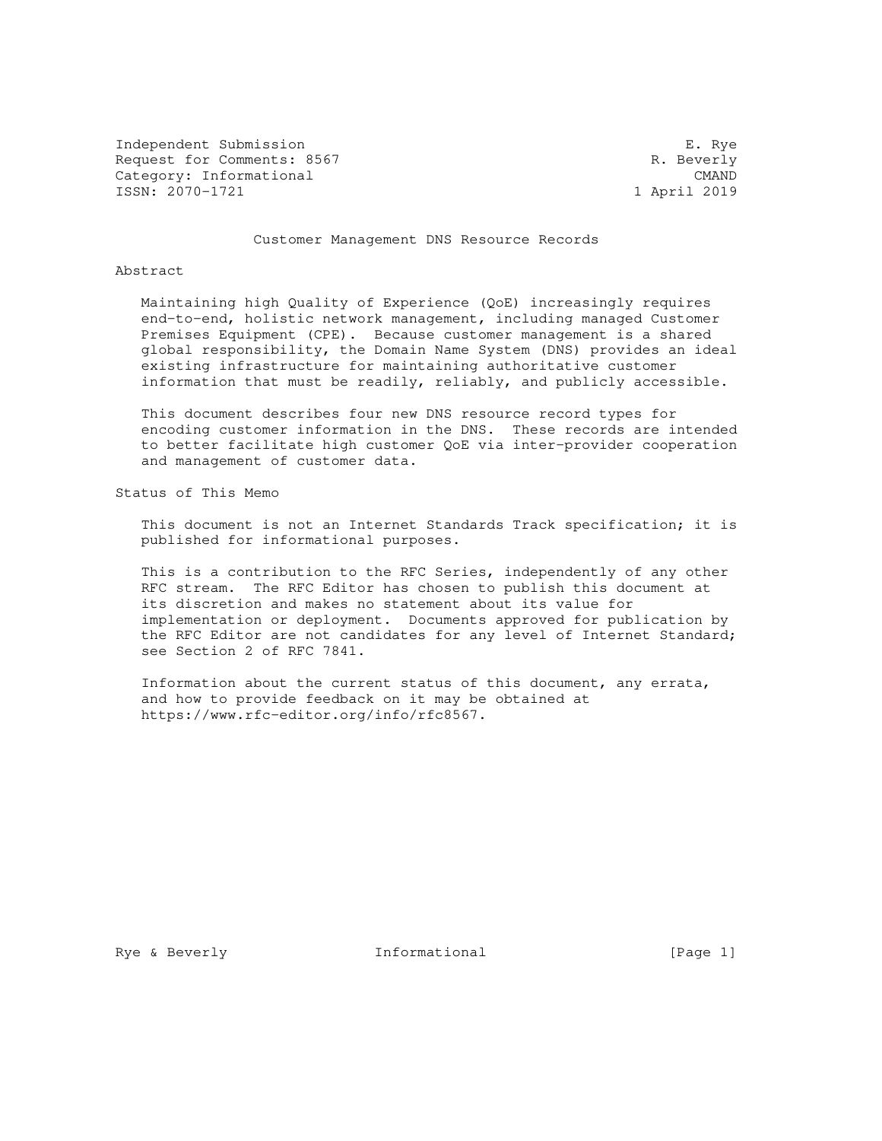Independent Submission E. Rye Request for Comments: 8567 R. Beverly Category: Informational CMAND<br>
ISSN: 2070-1721 18SN: 2070-1721 ISSN: 2070-1721

Customer Management DNS Resource Records

Abstract

 Maintaining high Quality of Experience (QoE) increasingly requires end-to-end, holistic network management, including managed Customer Premises Equipment (CPE). Because customer management is a shared global responsibility, the Domain Name System (DNS) provides an ideal existing infrastructure for maintaining authoritative customer information that must be readily, reliably, and publicly accessible.

 This document describes four new DNS resource record types for encoding customer information in the DNS. These records are intended to better facilitate high customer QoE via inter-provider cooperation and management of customer data.

Status of This Memo

 This document is not an Internet Standards Track specification; it is published for informational purposes.

 This is a contribution to the RFC Series, independently of any other RFC stream. The RFC Editor has chosen to publish this document at its discretion and makes no statement about its value for implementation or deployment. Documents approved for publication by the RFC Editor are not candidates for any level of Internet Standard; see Section 2 of RFC 7841.

 Information about the current status of this document, any errata, and how to provide feedback on it may be obtained at https://www.rfc-editor.org/info/rfc8567.

Rye & Beverly **Informational** [Page 1]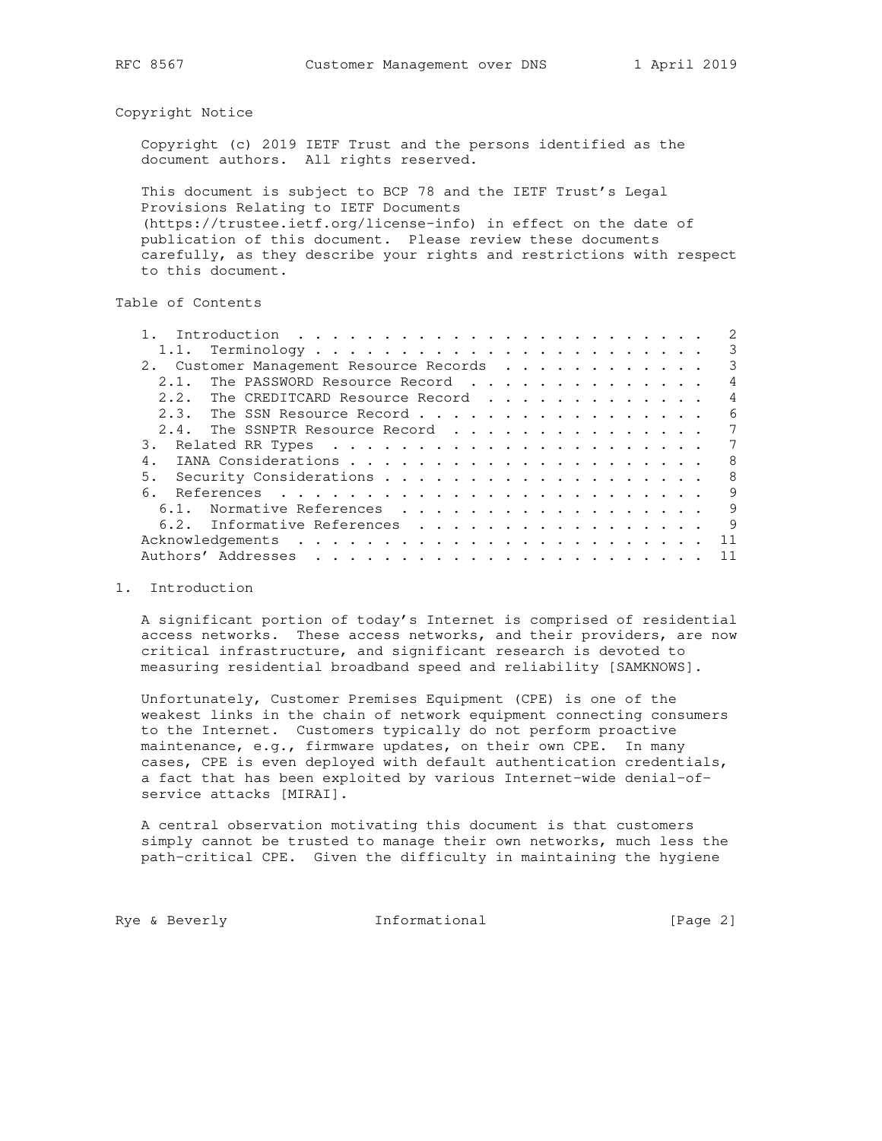Copyright Notice

 Copyright (c) 2019 IETF Trust and the persons identified as the document authors. All rights reserved.

 This document is subject to BCP 78 and the IETF Trust's Legal Provisions Relating to IETF Documents (https://trustee.ietf.org/license-info) in effect on the date of publication of this document. Please review these documents carefully, as they describe your rights and restrictions with respect to this document.

Table of Contents

|                                         | 3              |
|-----------------------------------------|----------------|
| 2. Customer Management Resource Records | 3              |
| The PASSWORD Resource Record<br>2.1.    | $\overline{4}$ |
| The CREDITCARD Resource Record<br>2.2.  | $\overline{4}$ |
| 2.3. The SSN Resource Record            | 6              |
| 2.4. The SSNPTR Resource Record         | 7              |
|                                         | 7              |
|                                         | 8              |
|                                         | 8              |
|                                         | 9              |
| 6.1. Normative References               | 9              |
| 6.2. Informative References             | 9              |
|                                         | 11             |
|                                         | 11             |
|                                         |                |

# 1. Introduction

 A significant portion of today's Internet is comprised of residential access networks. These access networks, and their providers, are now critical infrastructure, and significant research is devoted to measuring residential broadband speed and reliability [SAMKNOWS].

 Unfortunately, Customer Premises Equipment (CPE) is one of the weakest links in the chain of network equipment connecting consumers to the Internet. Customers typically do not perform proactive maintenance, e.g., firmware updates, on their own CPE. In many cases, CPE is even deployed with default authentication credentials, a fact that has been exploited by various Internet-wide denial-of service attacks [MIRAI].

 A central observation motivating this document is that customers simply cannot be trusted to manage their own networks, much less the path-critical CPE. Given the difficulty in maintaining the hygiene

Rye & Beverly **Informational** [Page 2]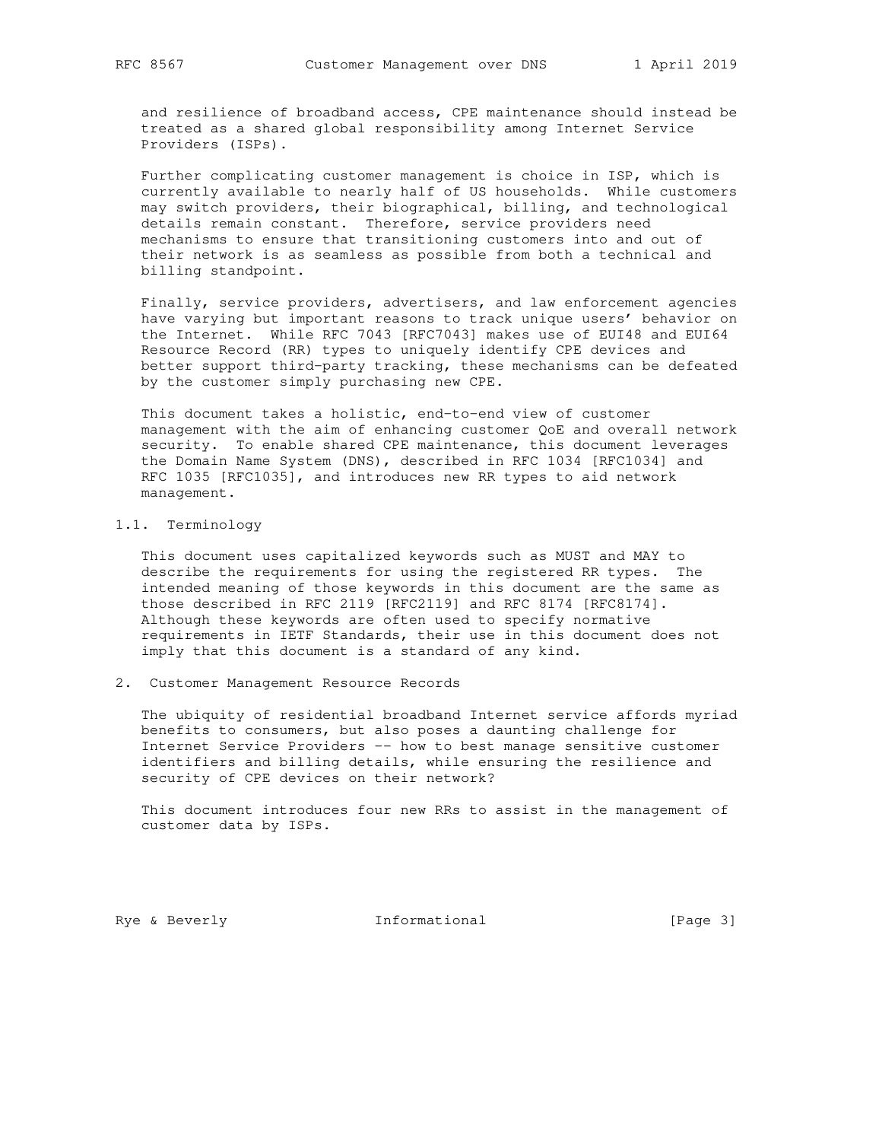and resilience of broadband access, CPE maintenance should instead be treated as a shared global responsibility among Internet Service Providers (ISPs).

 Further complicating customer management is choice in ISP, which is currently available to nearly half of US households. While customers may switch providers, their biographical, billing, and technological details remain constant. Therefore, service providers need mechanisms to ensure that transitioning customers into and out of their network is as seamless as possible from both a technical and billing standpoint.

 Finally, service providers, advertisers, and law enforcement agencies have varying but important reasons to track unique users' behavior on the Internet. While RFC 7043 [RFC7043] makes use of EUI48 and EUI64 Resource Record (RR) types to uniquely identify CPE devices and better support third-party tracking, these mechanisms can be defeated by the customer simply purchasing new CPE.

 This document takes a holistic, end-to-end view of customer management with the aim of enhancing customer QoE and overall network security. To enable shared CPE maintenance, this document leverages the Domain Name System (DNS), described in RFC 1034 [RFC1034] and RFC 1035 [RFC1035], and introduces new RR types to aid network management.

# 1.1. Terminology

 This document uses capitalized keywords such as MUST and MAY to describe the requirements for using the registered RR types. The intended meaning of those keywords in this document are the same as those described in RFC 2119 [RFC2119] and RFC 8174 [RFC8174]. Although these keywords are often used to specify normative requirements in IETF Standards, their use in this document does not imply that this document is a standard of any kind.

2. Customer Management Resource Records

 The ubiquity of residential broadband Internet service affords myriad benefits to consumers, but also poses a daunting challenge for Internet Service Providers -- how to best manage sensitive customer identifiers and billing details, while ensuring the resilience and security of CPE devices on their network?

 This document introduces four new RRs to assist in the management of customer data by ISPs.

Rye & Beverly **Informational** [Page 3]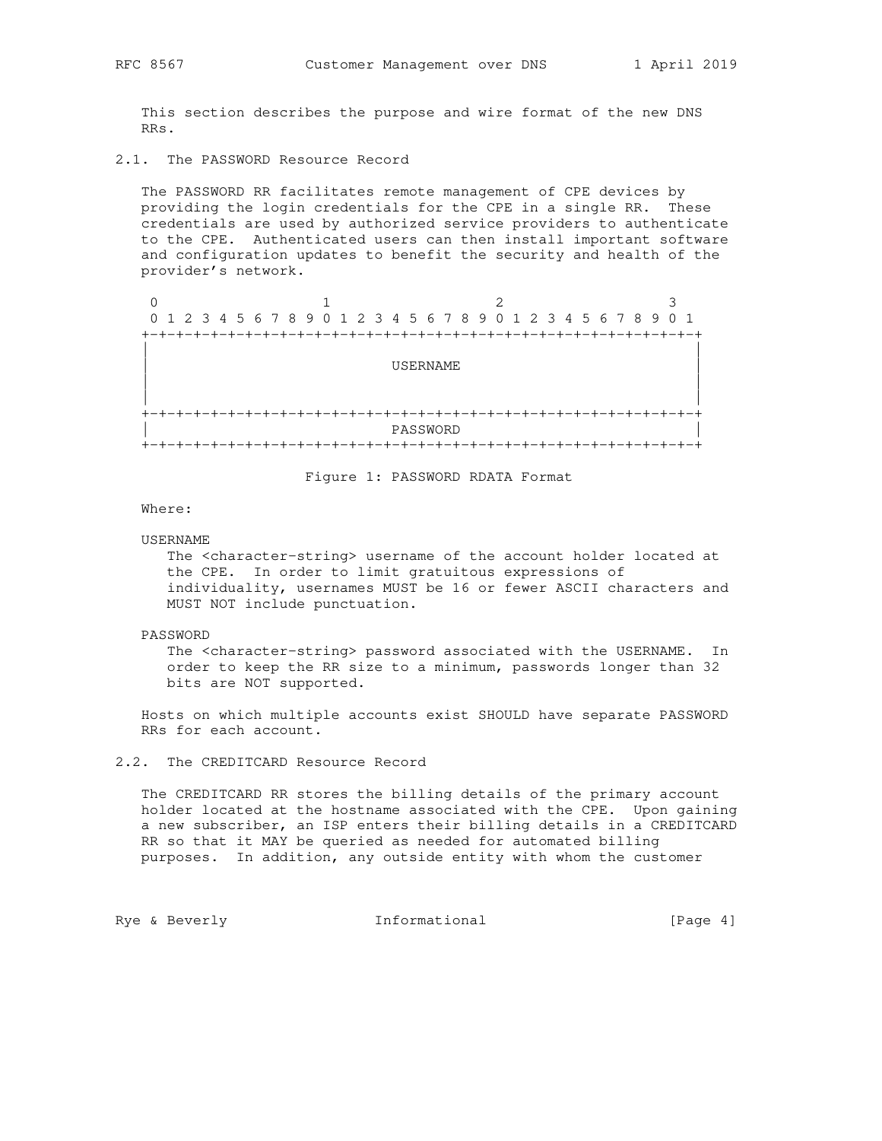This section describes the purpose and wire format of the new DNS RRs.

2.1. The PASSWORD Resource Record

 The PASSWORD RR facilitates remote management of CPE devices by providing the login credentials for the CPE in a single RR. These credentials are used by authorized service providers to authenticate to the CPE. Authenticated users can then install important software and configuration updates to benefit the security and health of the provider's network.

| 0 |                 |                                                                 |  |  |  |  |  |  |  |  |  |  |  |  |  |
|---|-----------------|-----------------------------------------------------------------|--|--|--|--|--|--|--|--|--|--|--|--|--|
|   |                 | 0 1 2 3 4 5 6 7 8 9 0 1 2 3 4 5 6 7 8 9 0 1 2 3 4 5 6 7 8 9 0 1 |  |  |  |  |  |  |  |  |  |  |  |  |  |
|   |                 |                                                                 |  |  |  |  |  |  |  |  |  |  |  |  |  |
|   |                 |                                                                 |  |  |  |  |  |  |  |  |  |  |  |  |  |
|   | <b>USERNAME</b> |                                                                 |  |  |  |  |  |  |  |  |  |  |  |  |  |
|   |                 |                                                                 |  |  |  |  |  |  |  |  |  |  |  |  |  |
|   |                 |                                                                 |  |  |  |  |  |  |  |  |  |  |  |  |  |
|   |                 |                                                                 |  |  |  |  |  |  |  |  |  |  |  |  |  |
|   |                 | PASSWORD                                                        |  |  |  |  |  |  |  |  |  |  |  |  |  |
|   |                 |                                                                 |  |  |  |  |  |  |  |  |  |  |  |  |  |

Figure 1: PASSWORD RDATA Format

Where:

#### USERNAME

 The <character-string> username of the account holder located at the CPE. In order to limit gratuitous expressions of individuality, usernames MUST be 16 or fewer ASCII characters and MUST NOT include punctuation.

### PASSWORD

 The <character-string> password associated with the USERNAME. In order to keep the RR size to a minimum, passwords longer than 32 bits are NOT supported.

 Hosts on which multiple accounts exist SHOULD have separate PASSWORD RRs for each account.

## 2.2. The CREDITCARD Resource Record

 The CREDITCARD RR stores the billing details of the primary account holder located at the hostname associated with the CPE. Upon gaining a new subscriber, an ISP enters their billing details in a CREDITCARD RR so that it MAY be queried as needed for automated billing purposes. In addition, any outside entity with whom the customer

Rye & Beverly **Informational** [Page 4]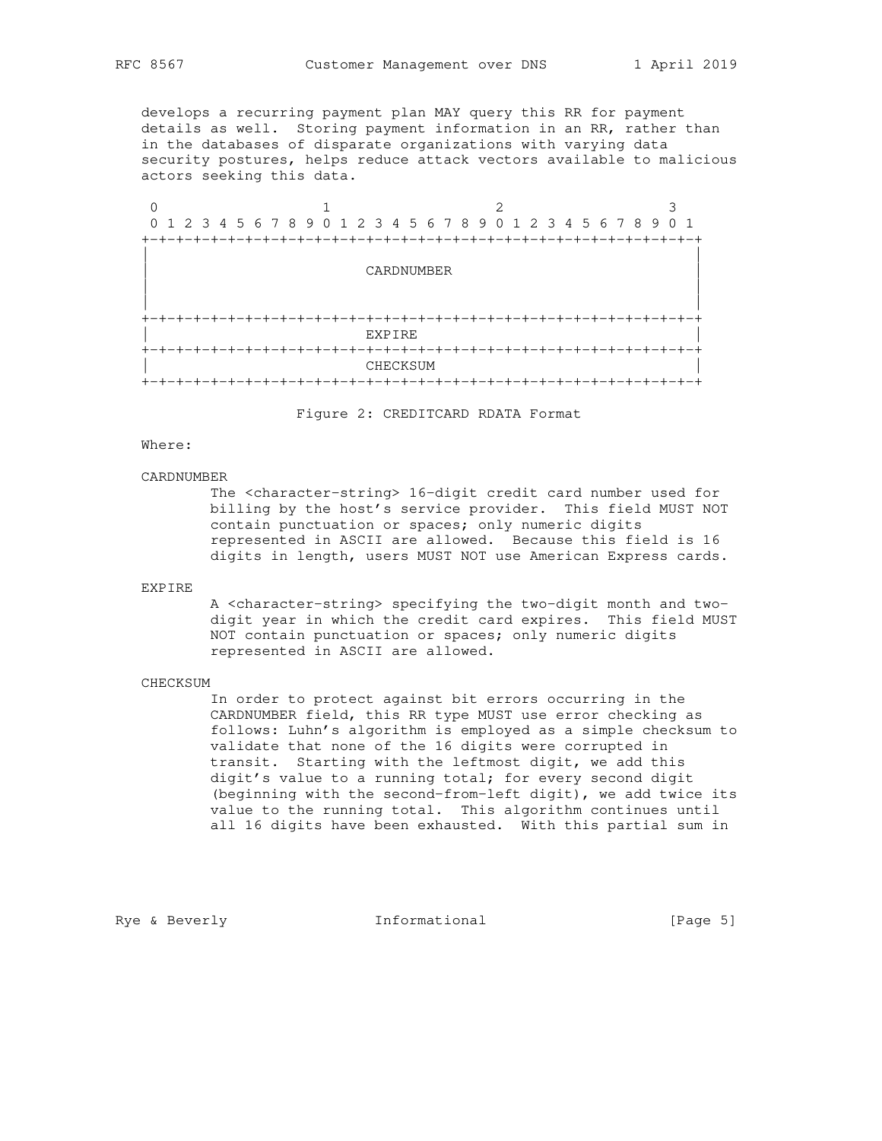develops a recurring payment plan MAY query this RR for payment details as well. Storing payment information in an RR, rather than in the databases of disparate organizations with varying data security postures, helps reduce attack vectors available to malicious actors seeking this data.

0  $1$  2 3 0 1 2 3 4 5 6 7 8 9 0 1 2 3 4 5 6 7 8 9 0 1 2 3 4 5 6 7 8 9 0 1 +-+-+-+-+-+-+-+-+-+-+-+-+-+-+-+-+-+-+-+-+-+-+-+-+-+-+-+-+-+-+-+-+ | | | CARDNUMBER | | | | | +-+-+-+-+-+-+-+-+-+-+-+-+-+-+-+-+-+-+-+-+-+-+-+-+-+-+-+-+-+-+-+-+ experience to the experience of the experience of the experience of the experience of the experience of the experience of the experience of the experience of the experience of the experience of the experience of the experi +-+-+-+-+-+-+-+-+-+-+-+-+-+-+-+-+-+-+-+-+-+-+-+-+-+-+-+-+-+-+-+-+ CHECKSUM +-+-+-+-+-+-+-+-+-+-+-+-+-+-+-+-+-+-+-+-+-+-+-+-+-+-+-+-+-+-+-+-+

Figure 2: CREDITCARD RDATA Format

## Where:

#### CARDNUMBER

 The <character-string> 16-digit credit card number used for billing by the host's service provider. This field MUST NOT contain punctuation or spaces; only numeric digits represented in ASCII are allowed. Because this field is 16 digits in length, users MUST NOT use American Express cards.

## EXPIRE

 A <character-string> specifying the two-digit month and two digit year in which the credit card expires. This field MUST NOT contain punctuation or spaces; only numeric digits represented in ASCII are allowed.

# CHECKSUM

 In order to protect against bit errors occurring in the CARDNUMBER field, this RR type MUST use error checking as follows: Luhn's algorithm is employed as a simple checksum to validate that none of the 16 digits were corrupted in transit. Starting with the leftmost digit, we add this digit's value to a running total; for every second digit (beginning with the second-from-left digit), we add twice its value to the running total. This algorithm continues until all 16 digits have been exhausted. With this partial sum in

Rye & Beverly **Informational** [Page 5]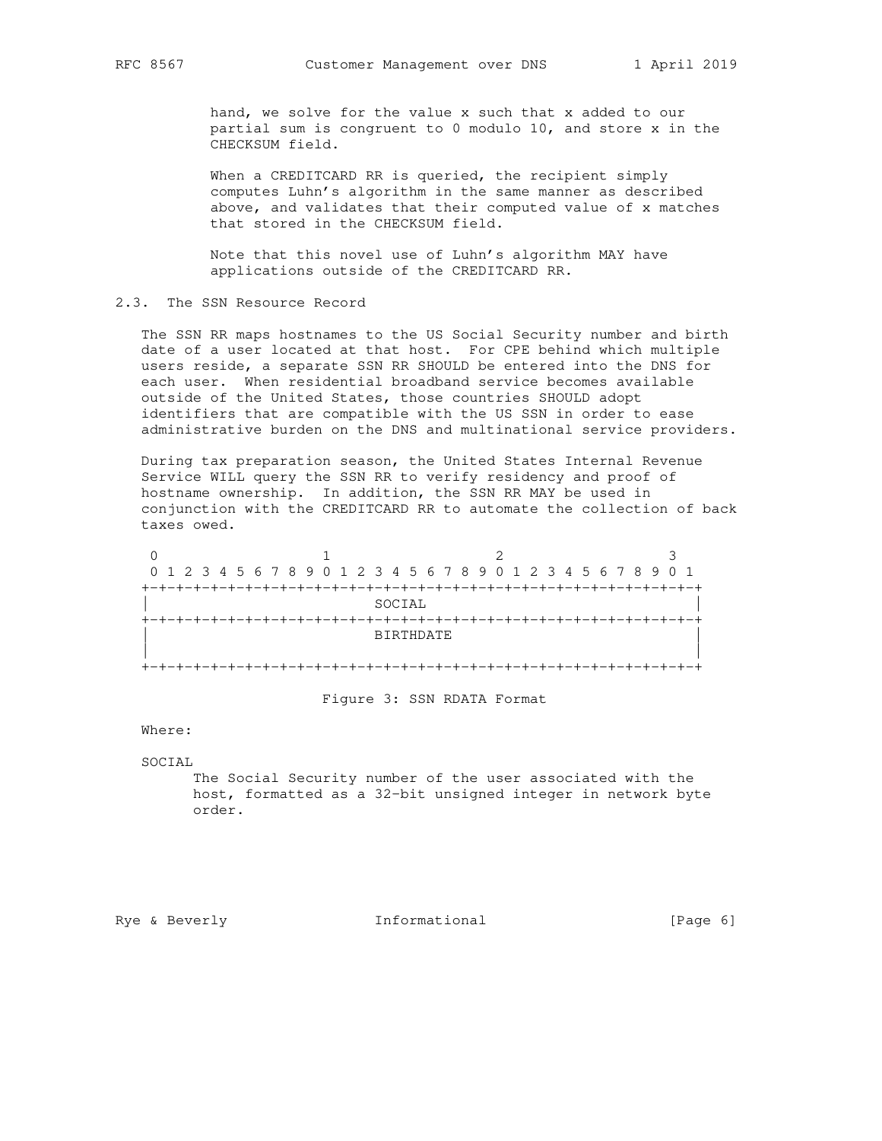hand, we solve for the value x such that x added to our partial sum is congruent to 0 modulo 10, and store x in the CHECKSUM field.

 When a CREDITCARD RR is queried, the recipient simply computes Luhn's algorithm in the same manner as described above, and validates that their computed value of x matches that stored in the CHECKSUM field.

 Note that this novel use of Luhn's algorithm MAY have applications outside of the CREDITCARD RR.

2.3. The SSN Resource Record

 The SSN RR maps hostnames to the US Social Security number and birth date of a user located at that host. For CPE behind which multiple users reside, a separate SSN RR SHOULD be entered into the DNS for each user. When residential broadband service becomes available outside of the United States, those countries SHOULD adopt identifiers that are compatible with the US SSN in order to ease administrative burden on the DNS and multinational service providers.

 During tax preparation season, the United States Internal Revenue Service WILL query the SSN RR to verify residency and proof of hostname ownership. In addition, the SSN RR MAY be used in conjunction with the CREDITCARD RR to automate the collection of back taxes owed.

| 0 1 2 3 4 5 6 7 8 9 0 1 2 3 4 5 6 7 8 9 0 1 2 3 4 5 6 7 8 9 0 1 |  |  |  |  |  |  |  |  |  |  |  |  |  |  |
|-----------------------------------------------------------------|--|--|--|--|--|--|--|--|--|--|--|--|--|--|
|                                                                 |  |  |  |  |  |  |  |  |  |  |  |  |  |  |
| SOCIAL                                                          |  |  |  |  |  |  |  |  |  |  |  |  |  |  |
|                                                                 |  |  |  |  |  |  |  |  |  |  |  |  |  |  |
| BIRTHDATE                                                       |  |  |  |  |  |  |  |  |  |  |  |  |  |  |
|                                                                 |  |  |  |  |  |  |  |  |  |  |  |  |  |  |
|                                                                 |  |  |  |  |  |  |  |  |  |  |  |  |  |  |

Figure 3: SSN RDATA Format

Where:

SOCIAL

 The Social Security number of the user associated with the host, formatted as a 32-bit unsigned integer in network byte order.

Rye & Beverly **Informational** [Page 6]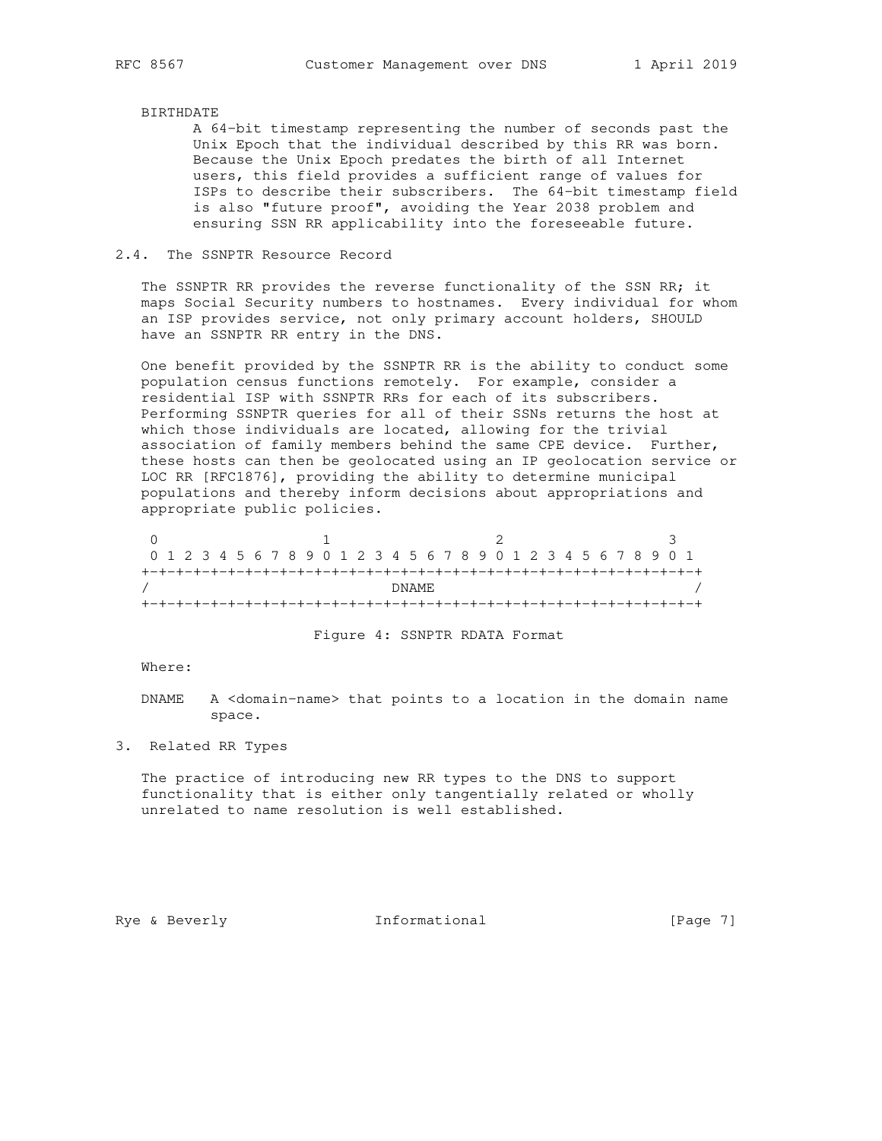# BIRTHDATE

 A 64-bit timestamp representing the number of seconds past the Unix Epoch that the individual described by this RR was born. Because the Unix Epoch predates the birth of all Internet users, this field provides a sufficient range of values for ISPs to describe their subscribers. The 64-bit timestamp field is also "future proof", avoiding the Year 2038 problem and ensuring SSN RR applicability into the foreseeable future.

### 2.4. The SSNPTR Resource Record

 The SSNPTR RR provides the reverse functionality of the SSN RR; it maps Social Security numbers to hostnames. Every individual for whom an ISP provides service, not only primary account holders, SHOULD have an SSNPTR RR entry in the DNS.

 One benefit provided by the SSNPTR RR is the ability to conduct some population census functions remotely. For example, consider a residential ISP with SSNPTR RRs for each of its subscribers. Performing SSNPTR queries for all of their SSNs returns the host at which those individuals are located, allowing for the trivial association of family members behind the same CPE device. Further, these hosts can then be geolocated using an IP geolocation service or LOC RR [RFC1876], providing the ability to determine municipal populations and thereby inform decisions about appropriations and appropriate public policies.

| 0 1 2 3 4 5 6 7 8 9 0 1 2 3 4 5 6 7 8 9 0 1 2 3 4 5 6 7 8 9 0 1 |  |  |  |  |  |  |  |  |  |  |  |  |  |  |  |  |  |  |  |  |  |  |  |  |  |  |  |  |  |  |  |
|-----------------------------------------------------------------|--|--|--|--|--|--|--|--|--|--|--|--|--|--|--|--|--|--|--|--|--|--|--|--|--|--|--|--|--|--|--|
|                                                                 |  |  |  |  |  |  |  |  |  |  |  |  |  |  |  |  |  |  |  |  |  |  |  |  |  |  |  |  |  |  |  |
| DNAME.                                                          |  |  |  |  |  |  |  |  |  |  |  |  |  |  |  |  |  |  |  |  |  |  |  |  |  |  |  |  |  |  |  |
|                                                                 |  |  |  |  |  |  |  |  |  |  |  |  |  |  |  |  |  |  |  |  |  |  |  |  |  |  |  |  |  |  |  |

# Figure 4: SSNPTR RDATA Format

### Where:

 DNAME A <domain-name> that points to a location in the domain name space.

3. Related RR Types

 The practice of introducing new RR types to the DNS to support functionality that is either only tangentially related or wholly unrelated to name resolution is well established.

Rye & Beverly **Informational** [Page 7]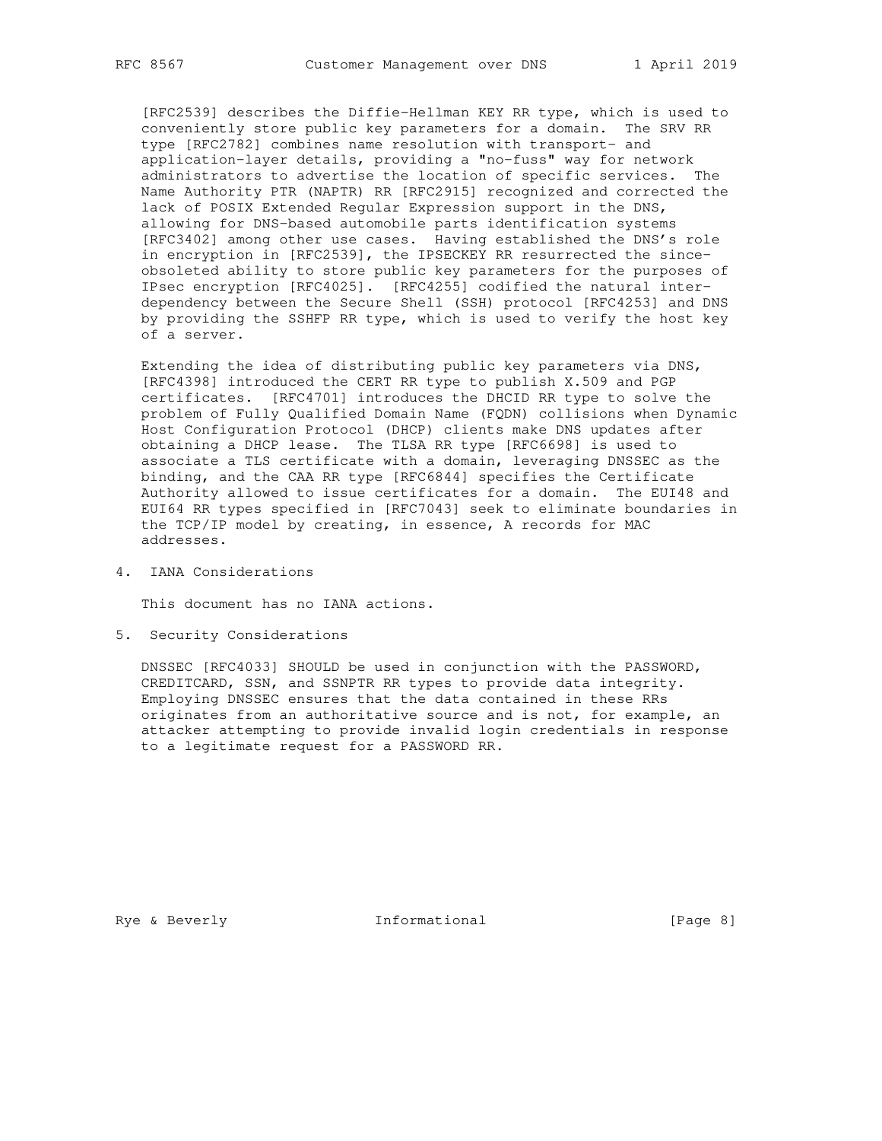[RFC2539] describes the Diffie-Hellman KEY RR type, which is used to conveniently store public key parameters for a domain. The SRV RR type [RFC2782] combines name resolution with transport- and application-layer details, providing a "no-fuss" way for network administrators to advertise the location of specific services. The Name Authority PTR (NAPTR) RR [RFC2915] recognized and corrected the lack of POSIX Extended Regular Expression support in the DNS, allowing for DNS-based automobile parts identification systems [RFC3402] among other use cases. Having established the DNS's role in encryption in [RFC2539], the IPSECKEY RR resurrected the since obsoleted ability to store public key parameters for the purposes of IPsec encryption [RFC4025]. [RFC4255] codified the natural inter dependency between the Secure Shell (SSH) protocol [RFC4253] and DNS by providing the SSHFP RR type, which is used to verify the host key of a server.

 Extending the idea of distributing public key parameters via DNS, [RFC4398] introduced the CERT RR type to publish X.509 and PGP certificates. [RFC4701] introduces the DHCID RR type to solve the problem of Fully Qualified Domain Name (FQDN) collisions when Dynamic Host Configuration Protocol (DHCP) clients make DNS updates after obtaining a DHCP lease. The TLSA RR type [RFC6698] is used to associate a TLS certificate with a domain, leveraging DNSSEC as the binding, and the CAA RR type [RFC6844] specifies the Certificate Authority allowed to issue certificates for a domain. The EUI48 and EUI64 RR types specified in [RFC7043] seek to eliminate boundaries in the TCP/IP model by creating, in essence, A records for MAC addresses.

4. IANA Considerations

This document has no IANA actions.

5. Security Considerations

 DNSSEC [RFC4033] SHOULD be used in conjunction with the PASSWORD, CREDITCARD, SSN, and SSNPTR RR types to provide data integrity. Employing DNSSEC ensures that the data contained in these RRs originates from an authoritative source and is not, for example, an attacker attempting to provide invalid login credentials in response to a legitimate request for a PASSWORD RR.

Rye & Beverly **Informational** [Page 8]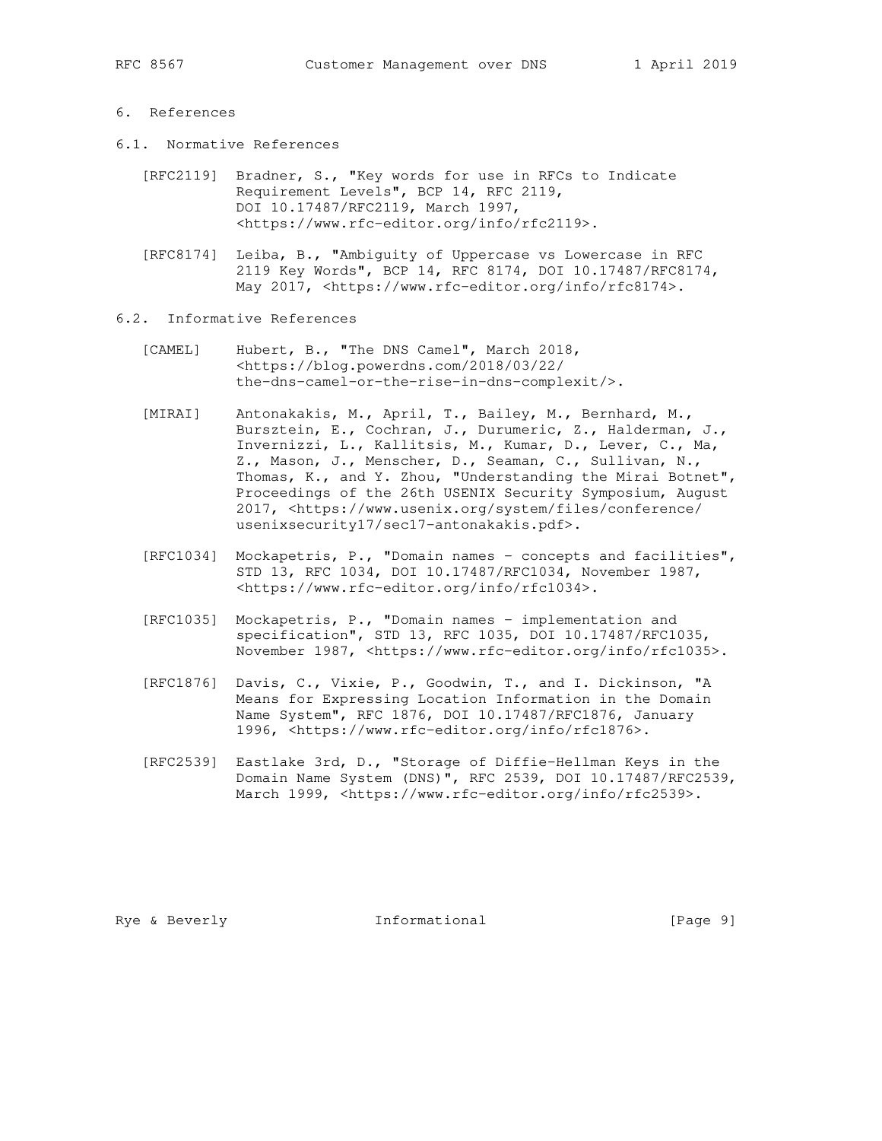# 6. References

- 6.1. Normative References
	- [RFC2119] Bradner, S., "Key words for use in RFCs to Indicate Requirement Levels", BCP 14, RFC 2119, DOI 10.17487/RFC2119, March 1997, <https://www.rfc-editor.org/info/rfc2119>.
	- [RFC8174] Leiba, B., "Ambiguity of Uppercase vs Lowercase in RFC 2119 Key Words", BCP 14, RFC 8174, DOI 10.17487/RFC8174, May 2017, <https://www.rfc-editor.org/info/rfc8174>.
- 6.2. Informative References
	- [CAMEL] Hubert, B., "The DNS Camel", March 2018, <https://blog.powerdns.com/2018/03/22/ the-dns-camel-or-the-rise-in-dns-complexit/>.
	- [MIRAI] Antonakakis, M., April, T., Bailey, M., Bernhard, M., Bursztein, E., Cochran, J., Durumeric, Z., Halderman, J., Invernizzi, L., Kallitsis, M., Kumar, D., Lever, C., Ma, Z., Mason, J., Menscher, D., Seaman, C., Sullivan, N., Thomas, K., and Y. Zhou, "Understanding the Mirai Botnet", Proceedings of the 26th USENIX Security Symposium, August 2017, <https://www.usenix.org/system/files/conference/ usenixsecurity17/sec17-antonakakis.pdf>.
	- [RFC1034] Mockapetris, P., "Domain names concepts and facilities", STD 13, RFC 1034, DOI 10.17487/RFC1034, November 1987, <https://www.rfc-editor.org/info/rfc1034>.
	- [RFC1035] Mockapetris, P., "Domain names implementation and specification", STD 13, RFC 1035, DOI 10.17487/RFC1035, November 1987, <https://www.rfc-editor.org/info/rfc1035>.
	- [RFC1876] Davis, C., Vixie, P., Goodwin, T., and I. Dickinson, "A Means for Expressing Location Information in the Domain Name System", RFC 1876, DOI 10.17487/RFC1876, January 1996, <https://www.rfc-editor.org/info/rfc1876>.
	- [RFC2539] Eastlake 3rd, D., "Storage of Diffie-Hellman Keys in the Domain Name System (DNS)", RFC 2539, DOI 10.17487/RFC2539, March 1999, <https://www.rfc-editor.org/info/rfc2539>.

Rye & Beverly **Informational** [Page 9]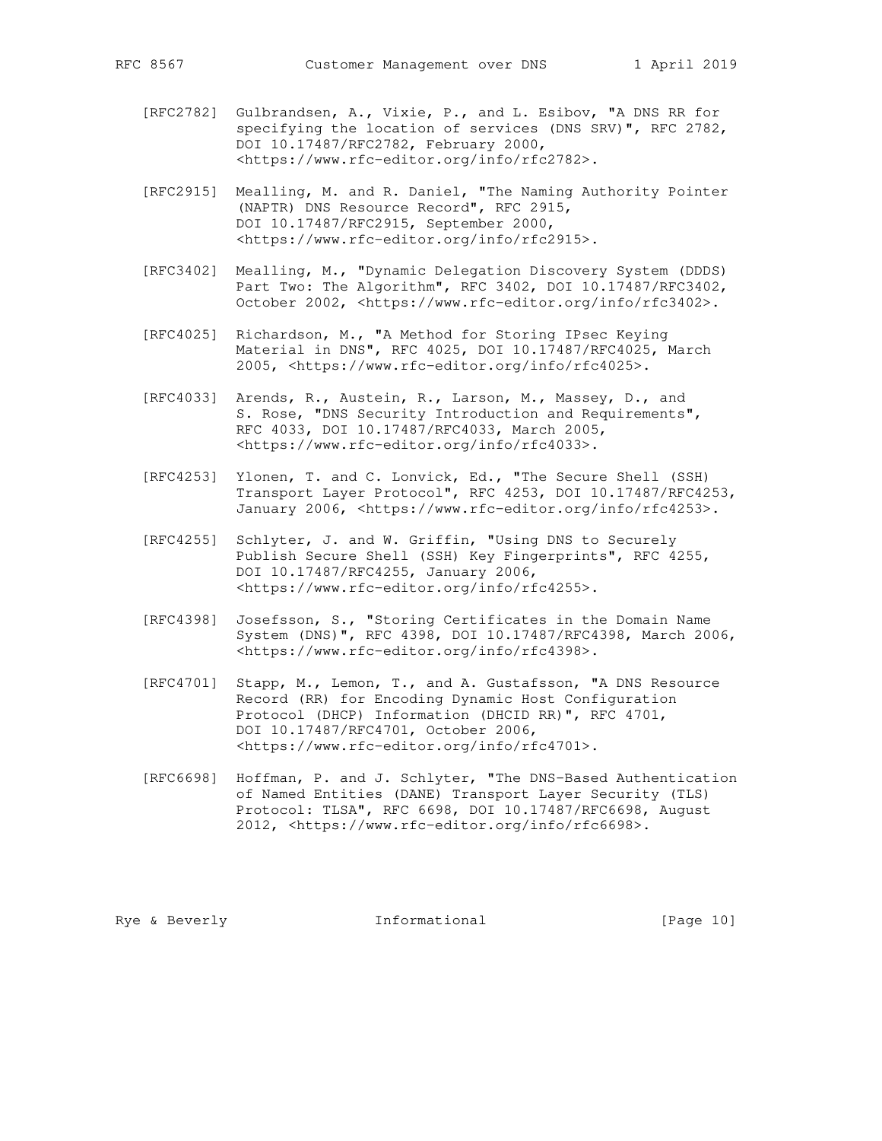- [RFC2782] Gulbrandsen, A., Vixie, P., and L. Esibov, "A DNS RR for specifying the location of services (DNS SRV)", RFC 2782, DOI 10.17487/RFC2782, February 2000, <https://www.rfc-editor.org/info/rfc2782>.
- [RFC2915] Mealling, M. and R. Daniel, "The Naming Authority Pointer (NAPTR) DNS Resource Record", RFC 2915, DOI 10.17487/RFC2915, September 2000, <https://www.rfc-editor.org/info/rfc2915>.
- [RFC3402] Mealling, M., "Dynamic Delegation Discovery System (DDDS) Part Two: The Algorithm", RFC 3402, DOI 10.17487/RFC3402, October 2002, <https://www.rfc-editor.org/info/rfc3402>.
- [RFC4025] Richardson, M., "A Method for Storing IPsec Keying Material in DNS", RFC 4025, DOI 10.17487/RFC4025, March 2005, <https://www.rfc-editor.org/info/rfc4025>.
- [RFC4033] Arends, R., Austein, R., Larson, M., Massey, D., and S. Rose, "DNS Security Introduction and Requirements", RFC 4033, DOI 10.17487/RFC4033, March 2005, <https://www.rfc-editor.org/info/rfc4033>.
- [RFC4253] Ylonen, T. and C. Lonvick, Ed., "The Secure Shell (SSH) Transport Layer Protocol", RFC 4253, DOI 10.17487/RFC4253, January 2006, <https://www.rfc-editor.org/info/rfc4253>.
- [RFC4255] Schlyter, J. and W. Griffin, "Using DNS to Securely Publish Secure Shell (SSH) Key Fingerprints", RFC 4255, DOI 10.17487/RFC4255, January 2006, <https://www.rfc-editor.org/info/rfc4255>.
- [RFC4398] Josefsson, S., "Storing Certificates in the Domain Name System (DNS)", RFC 4398, DOI 10.17487/RFC4398, March 2006, <https://www.rfc-editor.org/info/rfc4398>.
- [RFC4701] Stapp, M., Lemon, T., and A. Gustafsson, "A DNS Resource Record (RR) for Encoding Dynamic Host Configuration Protocol (DHCP) Information (DHCID RR)", RFC 4701, DOI 10.17487/RFC4701, October 2006, <https://www.rfc-editor.org/info/rfc4701>.
- [RFC6698] Hoffman, P. and J. Schlyter, "The DNS-Based Authentication of Named Entities (DANE) Transport Layer Security (TLS) Protocol: TLSA", RFC 6698, DOI 10.17487/RFC6698, August 2012, <https://www.rfc-editor.org/info/rfc6698>.

Rye & Beverly **Informational** [Page 10]